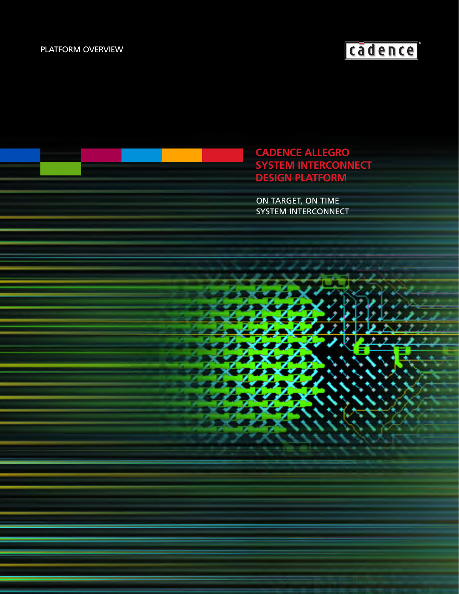## PLATFORM OVERVIEW

# cadence<sup>®</sup>

**CADENCE ALLEGRO SYSTEM INTERCONNECT DESIGN PLATFORM**

ON TARGET, ON TIME SYSTEM INTERCONNECT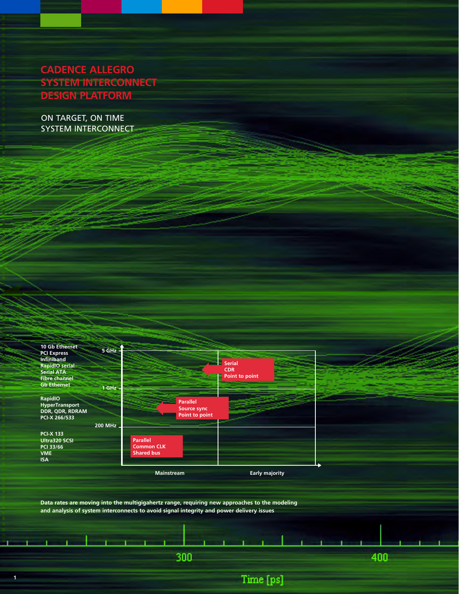# **CADENCE ALLEGRO SYSTEM INTERCONNECT DESIGN PLATFORM**

ON TARGET, ON TIME SYSTEM INTERCONNECT



**Data rates are moving into the multigigahertz range, requiring new approaches to the modeling and analysis of system interconnects to avoid signal integrity and power delivery issues**

300

Time [ps]

400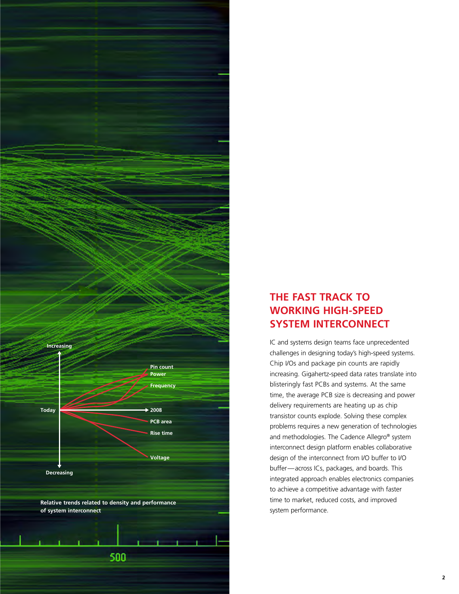# **THE FAST TRACK TO WORKING HIGH-SPEED SYSTEM INTERCONNECT**

IC and systems design teams face unprecedented challenges in designing today's high-speed systems. Chip I/Os and package pin counts are rapidly increasing. Gigahertz-speed data rates translate into blisteringly fast PCBs and systems. At the same time, the average PCB size is decreasing and power delivery requirements are heating up as chip transistor counts explode. Solving these complex problems requires a new generation of technologies and methodologies. The Cadence Allegro® system interconnect design platform enables collaborative design of the interconnect from I/O buffer to I/O buffer—across ICs, packages, and boards. This integrated approach enables electronics companies to achieve a competitive advantage with faster time to market, reduced costs, and improved system performance.

**Relative trends related to density and performance**

500

**Pin count Power Frequency**

**PCB area Rise time**

**2008**

**Voltage**

**of system interconnect**

**Decreasing**

**Today**

**Increasing**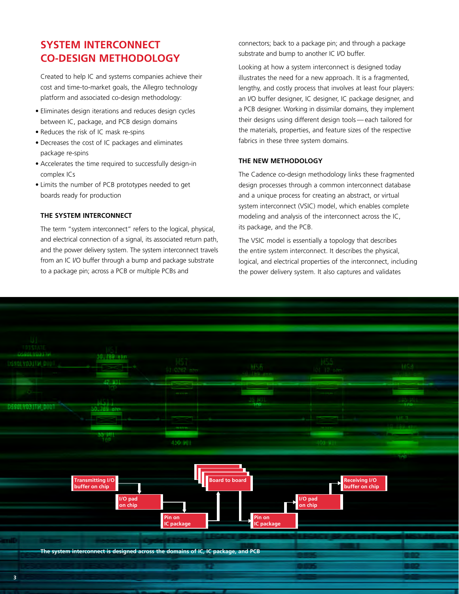# **SYSTEM INTERCONNECT CO-DESIGN METHODOLOGY**

Created to help IC and systems companies achieve their cost and time-to-market goals, the Allegro technology platform and associated co-design methodology:

- Eliminates design iterations and reduces design cycles between IC, package, and PCB design domains
- Reduces the risk of IC mask re-spins
- Decreases the cost of IC packages and eliminates package re-spins
- Accelerates the time required to successfully design-in complex ICs
- Limits the number of PCB prototypes needed to get boards ready for production

### **THE SYSTEM INTERCONNECT**

The term "system interconnect" refers to the logical, physical, and electrical connection of a signal, its associated return path, and the power delivery system. The system interconnect travels from an IC I/O buffer through a bump and package substrate to a package pin; across a PCB or multiple PCBs and

connectors; back to a package pin; and through a package substrate and bump to another IC I/O buffer.

Looking at how a system interconnect is designed today illustrates the need for a new approach. It is a fragmented, lengthy, and costly process that involves at least four players: an I/O buffer designer, IC designer, IC package designer, and a PCB designer. Working in dissimilar domains, they implement their designs using different design tools — each tailored for the materials, properties, and feature sizes of the respective fabrics in these three system domains.

### **THE NEW METHODOLOGY**

The Cadence co-design methodology links these fragmented design processes through a common interconnect database and a unique process for creating an abstract, or virtual system interconnect (VSIC) model, which enables complete modeling and analysis of the interconnect across the IC, its package, and the PCB.

The VSIC model is essentially a topology that describes the entire system interconnect. It describes the physical, logical, and electrical properties of the interconnect, including the power delivery system. It also captures and validates

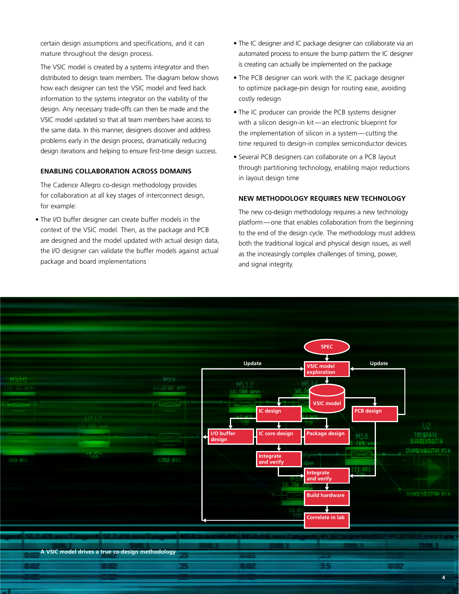certain design assumptions and specifications, and it can mature throughout the design process.

The VSIC model is created by a systems integrator and then distributed to design team members. The diagram below shows how each designer can test the VSIC model and feed back information to the systems integrator on the viability of the design. Any necessary trade-offs can then be made and the VSIC model updated so that all team members have access to the same data. In this manner, designers discover and address problems early in the design process, dramatically reducing design iterations and helping to ensure first-time design success.

#### **ENABLING COLLABORATION ACROSS DOMAINS**

The Cadence Allegro co-design methodology provides for collaboration at all key stages of interconnect design, for example:

• The I/O buffer designer can create buffer models in the context of the VSIC model. Then, as the package and PCB are designed and the model updated with actual design data, the I/O designer can validate the buffer models against actual package and board implementations

- The IC designer and IC package designer can collaborate via an automated process to ensure the bump pattern the IC designer is creating can actually be implemented on the package
- The PCB designer can work with the IC package designer to optimize package-pin design for routing ease, avoiding costly redesign
- The IC producer can provide the PCB systems designer with a silicon design-in kit—an electronic blueprint for the implementation of silicon in a system—cutting the time required to design-in complex semiconductor devices
- Several PCB designers can collaborate on a PCB layout through partitioning technology, enabling major reductions in layout design time

#### **NEW METHODOLOGY REQUIRES NEW TECHNOLOGY**

The new co-design methodology requires a new technology platform—one that enables collaboration from the beginning to the end of the design cycle. The methodology must address both the traditional logical and physical design issues, as well as the increasingly complex challenges of timing, power, and signal integrity.

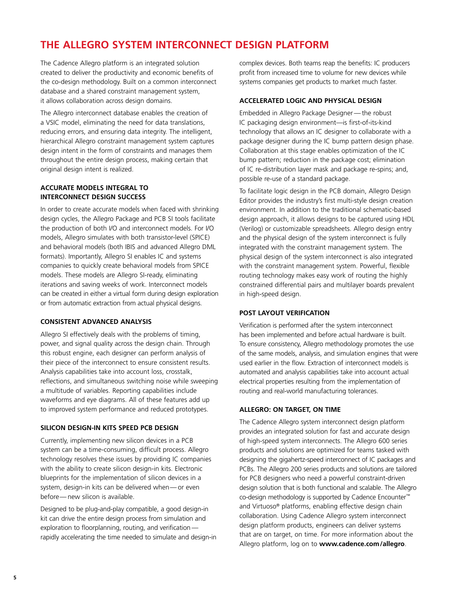# **THE ALLEGRO SYSTEM INTERCONNECT DESIGN PLATFORM**

The Cadence Allegro platform is an integrated solution created to deliver the productivity and economic benefits of the co-design methodology. Built on a common interconnect database and a shared constraint management system, it allows collaboration across design domains.

The Allegro interconnect database enables the creation of a VSIC model, eliminating the need for data translations, reducing errors, and ensuring data integrity. The intelligent, hierarchical Allegro constraint management system captures design intent in the form of constraints and manages them throughout the entire design process, making certain that original design intent is realized.

#### **ACCURATE MODELS INTEGRAL TO INTERCONNECT DESIGN SUCCESS**

In order to create accurate models when faced with shrinking design cycles, the Allegro Package and PCB SI tools facilitate the production of both I/O and interconnect models. For I/O models, Allegro simulates with both transistor-level (SPICE) and behavioral models (both IBIS and advanced Allegro DML formats). Importantly, Allegro SI enables IC and systems companies to quickly create behavioral models from SPICE models. These models are Allegro SI-ready, eliminating iterations and saving weeks of work. Interconnect models can be created in either a virtual form during design exploration or from automatic extraction from actual physical designs.

### **CONSISTENT ADVANCED ANALYSIS**

Allegro SI effectively deals with the problems of timing, power, and signal quality across the design chain. Through this robust engine, each designer can perform analysis of their piece of the interconnect to ensure consistent results. Analysis capabilities take into account loss, crosstalk, reflections, and simultaneous switching noise while sweeping a multitude of variables. Reporting capabilities include waveforms and eye diagrams. All of these features add up to improved system performance and reduced prototypes.

### **SILICON DESIGN-IN KITS SPEED PCB DESIGN**

Currently, implementing new silicon devices in a PCB system can be a time-consuming, difficult process. Allegro technology resolves these issues by providing IC companies with the ability to create silicon design-in kits. Electronic blueprints for the implementation of silicon devices in a system, design-in kits can be delivered when— or even before— new silicon is available.

Designed to be plug-and-play compatible, a good design-in kit can drive the entire design process from simulation and exploration to floorplanning, routing, and verification rapidly accelerating the time needed to simulate and design-in complex devices. Both teams reap the benefits: IC producers profit from increased time to volume for new devices while systems companies get products to market much faster.

### **ACCELERATED LOGIC AND PHYSICAL DESIGN**

Embedded in Allegro Package Designer — the robust IC packaging design environment—is first-of-its-kind technology that allows an IC designer to collaborate with a package designer during the IC bump pattern design phase. Collaboration at this stage enables optimization of the IC bump pattern; reduction in the package cost; elimination of IC re-distribution layer mask and package re-spins; and, possible re-use of a standard package.

To facilitate logic design in the PCB domain, Allegro Design Editor provides the industry's first multi-style design creation environment. In addition to the traditional schematic-based design approach, it allows designs to be captured using HDL (Verilog) or customizable spreadsheets. Allegro design entry and the physical design of the system interconnect is fully integrated with the constraint management system. The physical design of the system interconnect is also integrated with the constraint management system. Powerful, flexible routing technology makes easy work of routing the highly constrained differential pairs and multilayer boards prevalent in high-speed design.

### **POST LAYOUT VERIFICATION**

Verification is performed after the system interconnect has been implemented and before actual hardware is built. To ensure consistency, Allegro methodology promotes the use of the same models, analysis, and simulation engines that were used earlier in the flow. Extraction of interconnect models is automated and analysis capabilities take into account actual electrical properties resulting from the implementation of routing and real-world manufacturing tolerances.

### **ALLEGRO: ON TARGET, ON TIME**

The Cadence Allegro system interconnect design platform provides an integrated solution for fast and accurate design of high-speed system interconnects. The Allegro 600 series products and solutions are optimized for teams tasked with designing the gigahertz-speed interconnect of IC packages and PCBs. The Allegro 200 series products and solutions are tailored for PCB designers who need a powerful constraint-driven design solution that is both functional and scalable. The Allegro co-design methodology is supported by Cadence Encounter™ and Virtuoso® platforms, enabling effective design chain collaboration. Using Cadence Allegro system interconnect design platform products, engineers can deliver systems that are on target, on time. For more information about the Allegro platform, log on to **www.cadence.com/allegro**.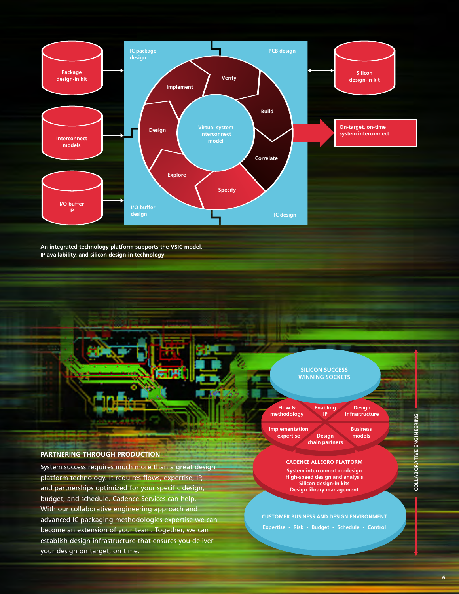

**An integrated technology platform supports the VSIC model, IP availability, and silicon design-in technology**



System success requires much more than a great design platform technology. It requires flows, expertise, IP, and partnerships optimized for your specific design, budget, and schedule. Cadence Services can help. With our collaborative engineering approach and advanced IC packaging methodologies expertise we can become an extension of your team. Together, we can establish design infrastructure that ensures you deliver your design on target, on time.



**Expertise • Risk • Budget • Schedule • Control**